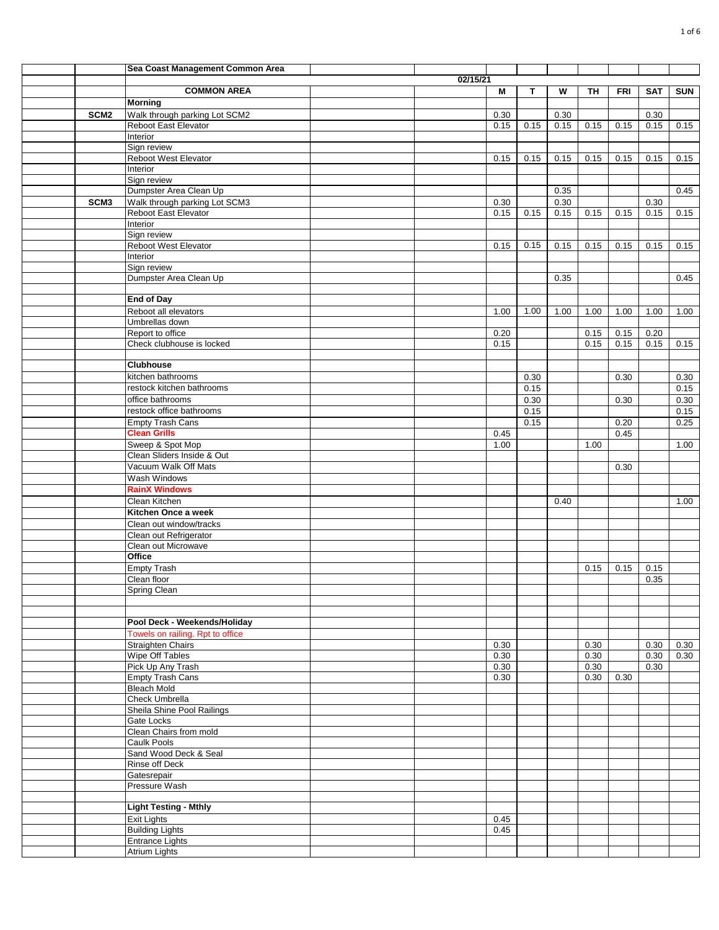|                  | Sea Coast Management Common Area               |          |      |      |      |      |            |            |            |
|------------------|------------------------------------------------|----------|------|------|------|------|------------|------------|------------|
|                  |                                                | 02/15/21 |      |      |      |      |            |            |            |
|                  | <b>COMMON AREA</b>                             |          | М    | T    | W    | TH   | <b>FRI</b> | <b>SAT</b> | <b>SUN</b> |
|                  | <b>Morning</b>                                 |          |      |      |      |      |            |            |            |
| SCM <sub>2</sub> | Walk through parking Lot SCM2                  |          | 0.30 |      | 0.30 |      |            | 0.30       |            |
|                  | Reboot East Elevator                           |          | 0.15 | 0.15 | 0.15 | 0.15 | 0.15       | 0.15       | 0.15       |
|                  | Interior                                       |          |      |      |      |      |            |            |            |
|                  | Sign review                                    |          |      |      |      |      |            |            |            |
|                  | Reboot West Elevator<br>Interior               |          | 0.15 | 0.15 | 0.15 | 0.15 | 0.15       | 0.15       | 0.15       |
|                  | Sign review                                    |          |      |      |      |      |            |            |            |
|                  | Dumpster Area Clean Up                         |          |      |      | 0.35 |      |            |            | 0.45       |
| SCM <sub>3</sub> | Walk through parking Lot SCM3                  |          | 0.30 |      | 0.30 |      |            | 0.30       |            |
|                  | Reboot East Elevator                           |          | 0.15 | 0.15 | 0.15 | 0.15 | 0.15       | 0.15       | 0.15       |
|                  | Interior                                       |          |      |      |      |      |            |            |            |
|                  | Sign review                                    |          |      |      |      |      |            |            |            |
|                  | Reboot West Elevator                           |          | 0.15 | 0.15 | 0.15 | 0.15 | 0.15       | 0.15       | 0.15       |
|                  | Interior                                       |          |      |      |      |      |            |            |            |
|                  | Sign review                                    |          |      |      |      |      |            |            |            |
|                  | Dumpster Area Clean Up                         |          |      |      | 0.35 |      |            |            | 0.45       |
|                  | <b>End of Day</b>                              |          |      |      |      |      |            |            |            |
|                  | Reboot all elevators                           |          | 1.00 | 1.00 | 1.00 | 1.00 | 1.00       | 1.00       | 1.00       |
|                  | Umbrellas down                                 |          |      |      |      |      |            |            |            |
|                  | Report to office                               |          | 0.20 |      |      | 0.15 | 0.15       | 0.20       |            |
|                  | Check clubhouse is locked                      |          | 0.15 |      |      | 0.15 | 0.15       | 0.15       | 0.15       |
|                  |                                                |          |      |      |      |      |            |            |            |
|                  | <b>Clubhouse</b>                               |          |      |      |      |      |            |            |            |
|                  | kitchen bathrooms                              |          |      | 0.30 |      |      | 0.30       |            | 0.30       |
|                  | restock kitchen bathrooms                      |          |      | 0.15 |      |      |            |            | 0.15       |
|                  | office bathrooms                               |          |      | 0.30 |      |      | 0.30       |            | 0.30       |
|                  | restock office bathrooms                       |          |      | 0.15 |      |      |            |            | 0.15       |
|                  | Empty Trash Cans                               |          |      | 0.15 |      |      | 0.20       |            | 0.25       |
|                  | <b>Clean Grills</b>                            |          | 0.45 |      |      |      | 0.45       |            |            |
|                  | Sweep & Spot Mop<br>Clean Sliders Inside & Out |          | 1.00 |      |      | 1.00 |            |            | 1.00       |
|                  | Vacuum Walk Off Mats                           |          |      |      |      |      | 0.30       |            |            |
|                  | Wash Windows                                   |          |      |      |      |      |            |            |            |
|                  | <b>RainX Windows</b>                           |          |      |      |      |      |            |            |            |
|                  | Clean Kitchen                                  |          |      |      | 0.40 |      |            |            | 1.00       |
|                  | Kitchen Once a week                            |          |      |      |      |      |            |            |            |
|                  | Clean out window/tracks                        |          |      |      |      |      |            |            |            |
|                  | Clean out Refrigerator                         |          |      |      |      |      |            |            |            |
|                  | Clean out Microwave                            |          |      |      |      |      |            |            |            |
|                  | Office                                         |          |      |      |      |      |            |            |            |
|                  | <b>Empty Trash</b>                             |          |      |      |      | 0.15 | 0.15       | 0.15       |            |
|                  | Clean floor                                    |          |      |      |      |      |            | 0.35       |            |
|                  | Spring Clean                                   |          |      |      |      |      |            |            |            |
|                  |                                                |          |      |      |      |      |            |            |            |
|                  | Pool Deck - Weekends/Holiday                   |          |      |      |      |      |            |            |            |
|                  | Towels on railing. Rpt to office               |          |      |      |      |      |            |            |            |
|                  | <b>Straighten Chairs</b>                       |          | 0.30 |      |      | 0.30 |            | 0.30       | 0.30       |
|                  | Wipe Off Tables                                |          | 0.30 |      |      | 0.30 |            | 0.30       | 0.30       |
|                  | Pick Up Any Trash                              |          | 0.30 |      |      | 0.30 |            | 0.30       |            |
|                  | <b>Empty Trash Cans</b>                        |          | 0.30 |      |      | 0.30 | 0.30       |            |            |
|                  | <b>Bleach Mold</b>                             |          |      |      |      |      |            |            |            |
|                  | Check Umbrella                                 |          |      |      |      |      |            |            |            |
|                  | Sheila Shine Pool Railings                     |          |      |      |      |      |            |            |            |
|                  | Gate Locks                                     |          |      |      |      |      |            |            |            |
|                  | Clean Chairs from mold<br>Caulk Pools          |          |      |      |      |      |            |            |            |
|                  | Sand Wood Deck & Seal                          |          |      |      |      |      |            |            |            |
|                  | Rinse off Deck                                 |          |      |      |      |      |            |            |            |
|                  | Gatesrepair                                    |          |      |      |      |      |            |            |            |
|                  | Pressure Wash                                  |          |      |      |      |      |            |            |            |
|                  |                                                |          |      |      |      |      |            |            |            |
|                  | <b>Light Testing - Mthly</b>                   |          |      |      |      |      |            |            |            |
|                  | <b>Exit Lights</b>                             |          | 0.45 |      |      |      |            |            |            |
|                  | <b>Building Lights</b>                         |          | 0.45 |      |      |      |            |            |            |
|                  | <b>Entrance Lights</b>                         |          |      |      |      |      |            |            |            |
|                  | Atrium Lights                                  |          |      |      |      |      |            |            |            |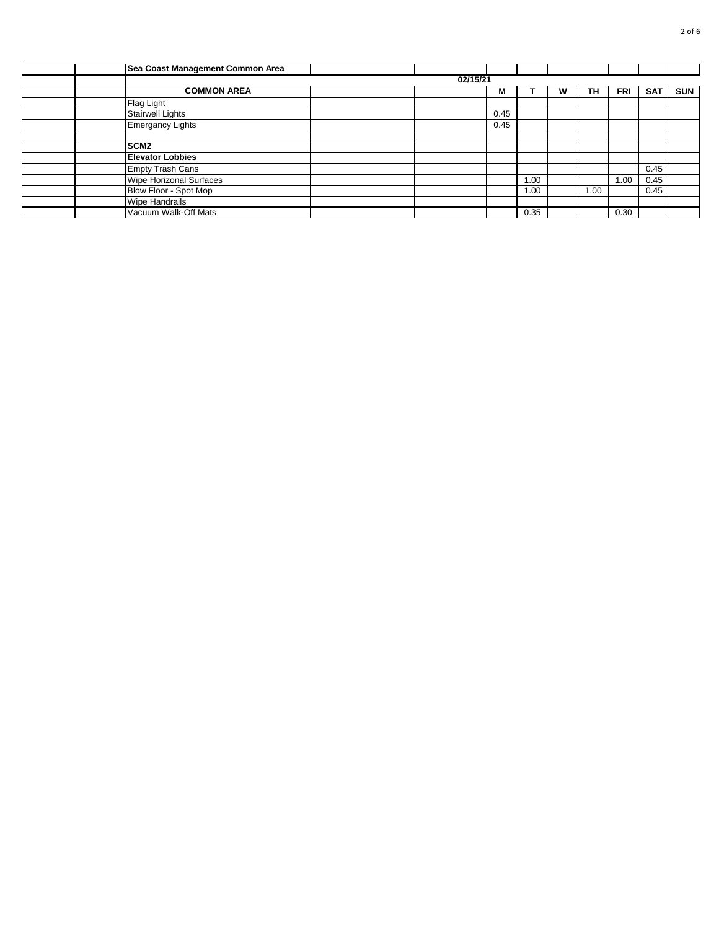| Sea Coast Management Common Area |          |      |      |   |           |            |            |            |
|----------------------------------|----------|------|------|---|-----------|------------|------------|------------|
|                                  | 02/15/21 |      |      |   |           |            |            |            |
| <b>COMMON AREA</b>               |          | М    |      | w | <b>TH</b> | <b>FRI</b> | <b>SAT</b> | <b>SUN</b> |
| Flag Light                       |          |      |      |   |           |            |            |            |
| <b>Stairwell Lights</b>          |          | 0.45 |      |   |           |            |            |            |
| <b>Emergancy Lights</b>          |          | 0.45 |      |   |           |            |            |            |
|                                  |          |      |      |   |           |            |            |            |
| SCM <sub>2</sub>                 |          |      |      |   |           |            |            |            |
| <b>Elevator Lobbies</b>          |          |      |      |   |           |            |            |            |
| <b>Empty Trash Cans</b>          |          |      |      |   |           |            | 0.45       |            |
| Wipe Horizonal Surfaces          |          |      | 1.00 |   |           | 1.00       | 0.45       |            |
| Blow Floor - Spot Mop            |          |      | 1.00 |   | 1.00      |            | 0.45       |            |
| <b>Wipe Handrails</b>            |          |      |      |   |           |            |            |            |
| Vacuum Walk-Off Mats             |          |      | 0.35 |   |           | 0.30       |            |            |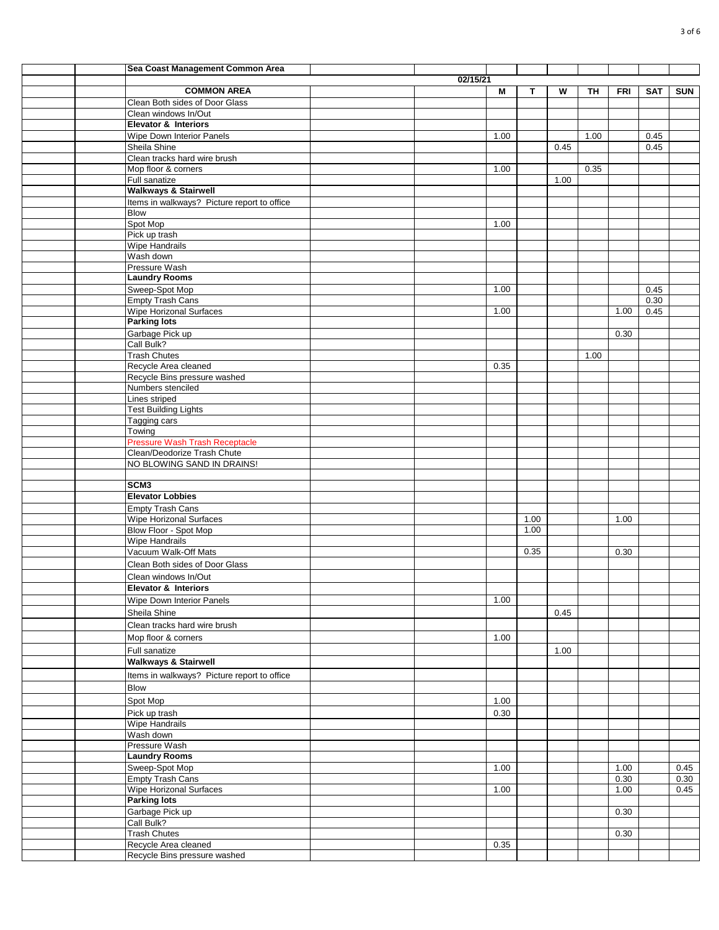|  | Sea Coast Management Common Area                          |          |      |      |      |      |            |            |            |
|--|-----------------------------------------------------------|----------|------|------|------|------|------------|------------|------------|
|  |                                                           | 02/15/21 |      |      |      |      |            |            |            |
|  | <b>COMMON AREA</b>                                        |          | М    | т    | W    | TH   | <b>FRI</b> | <b>SAT</b> | <b>SUN</b> |
|  | Clean Both sides of Door Glass                            |          |      |      |      |      |            |            |            |
|  | Clean windows In/Out                                      |          |      |      |      |      |            |            |            |
|  | <b>Elevator &amp; Interiors</b>                           |          |      |      |      |      |            |            |            |
|  | Wipe Down Interior Panels                                 |          | 1.00 |      |      | 1.00 |            | 0.45       |            |
|  | Sheila Shine                                              |          |      |      | 0.45 |      |            | 0.45       |            |
|  | Clean tracks hard wire brush                              |          |      |      |      |      |            |            |            |
|  | Mop floor & corners                                       |          | 1.00 |      |      | 0.35 |            |            |            |
|  | Full sanatize                                             |          |      |      | 1.00 |      |            |            |            |
|  | <b>Walkways &amp; Stairwell</b>                           |          |      |      |      |      |            |            |            |
|  | Items in walkways? Picture report to office<br>Blow       |          |      |      |      |      |            |            |            |
|  | Spot Mop                                                  |          | 1.00 |      |      |      |            |            |            |
|  | Pick up trash                                             |          |      |      |      |      |            |            |            |
|  | Wipe Handrails                                            |          |      |      |      |      |            |            |            |
|  | Wash down                                                 |          |      |      |      |      |            |            |            |
|  | Pressure Wash                                             |          |      |      |      |      |            |            |            |
|  | <b>Laundry Rooms</b>                                      |          |      |      |      |      |            |            |            |
|  | Sweep-Spot Mop                                            |          | 1.00 |      |      |      |            | 0.45       |            |
|  | <b>Empty Trash Cans</b>                                   |          |      |      |      |      |            | 0.30       |            |
|  | Wipe Horizonal Surfaces                                   |          | 1.00 |      |      |      | 1.00       | 0.45       |            |
|  | <b>Parking lots</b>                                       |          |      |      |      |      |            |            |            |
|  | Garbage Pick up<br>Call Bulk?                             |          |      |      |      |      | 0.30       |            |            |
|  | <b>Trash Chutes</b>                                       |          |      |      |      | 1.00 |            |            |            |
|  | Recycle Area cleaned                                      |          | 0.35 |      |      |      |            |            |            |
|  | Recycle Bins pressure washed                              |          |      |      |      |      |            |            |            |
|  | Numbers stenciled                                         |          |      |      |      |      |            |            |            |
|  | Lines striped                                             |          |      |      |      |      |            |            |            |
|  | <b>Test Building Lights</b>                               |          |      |      |      |      |            |            |            |
|  | Tagging cars                                              |          |      |      |      |      |            |            |            |
|  | Towing                                                    |          |      |      |      |      |            |            |            |
|  | Pressure Wash Trash Receptacle                            |          |      |      |      |      |            |            |            |
|  | Clean/Deodorize Trash Chute<br>NO BLOWING SAND IN DRAINS! |          |      |      |      |      |            |            |            |
|  |                                                           |          |      |      |      |      |            |            |            |
|  | SCM <sub>3</sub>                                          |          |      |      |      |      |            |            |            |
|  | <b>Elevator Lobbies</b>                                   |          |      |      |      |      |            |            |            |
|  | Empty Trash Cans                                          |          |      |      |      |      |            |            |            |
|  | Wipe Horizonal Surfaces                                   |          |      | 1.00 |      |      | 1.00       |            |            |
|  | Blow Floor - Spot Mop                                     |          |      | 1.00 |      |      |            |            |            |
|  | Wipe Handrails                                            |          |      |      |      |      |            |            |            |
|  | Vacuum Walk-Off Mats                                      |          |      | 0.35 |      |      | 0.30       |            |            |
|  | Clean Both sides of Door Glass                            |          |      |      |      |      |            |            |            |
|  | Clean windows In/Out                                      |          |      |      |      |      |            |            |            |
|  | <b>Elevator &amp; Interiors</b>                           |          |      |      |      |      |            |            |            |
|  | <b>Wipe Down Interior Panels</b>                          |          | 1.00 |      |      |      |            |            |            |
|  | Sheila Shine                                              |          |      |      | 0.45 |      |            |            |            |
|  | Clean tracks hard wire brush                              |          |      |      |      |      |            |            |            |
|  | Mop floor & corners                                       |          | 1.00 |      |      |      |            |            |            |
|  | Full sanatize                                             |          |      |      | 1.00 |      |            |            |            |
|  | <b>Walkways &amp; Stairwell</b>                           |          |      |      |      |      |            |            |            |
|  | Items in walkways? Picture report to office               |          |      |      |      |      |            |            |            |
|  | <b>Blow</b>                                               |          |      |      |      |      |            |            |            |
|  | Spot Mop                                                  |          | 1.00 |      |      |      |            |            |            |
|  | Pick up trash                                             |          | 0.30 |      |      |      |            |            |            |
|  | <b>Wipe Handrails</b>                                     |          |      |      |      |      |            |            |            |
|  | Wash down                                                 |          |      |      |      |      |            |            |            |
|  | Pressure Wash                                             |          |      |      |      |      |            |            |            |
|  | <b>Laundry Rooms</b>                                      |          |      |      |      |      |            |            |            |
|  | Sweep-Spot Mop                                            |          | 1.00 |      |      |      | 1.00       |            | 0.45       |
|  | <b>Empty Trash Cans</b>                                   |          |      |      |      |      | 0.30       |            | 0.30       |
|  | Wipe Horizonal Surfaces<br><b>Parking lots</b>            |          | 1.00 |      |      |      | 1.00       |            | 0.45       |
|  | Garbage Pick up                                           |          |      |      |      |      | 0.30       |            |            |
|  | Call Bulk?                                                |          |      |      |      |      |            |            |            |
|  | <b>Trash Chutes</b>                                       |          |      |      |      |      | 0.30       |            |            |
|  | Recycle Area cleaned                                      |          | 0.35 |      |      |      |            |            |            |
|  | Recycle Bins pressure washed                              |          |      |      |      |      |            |            |            |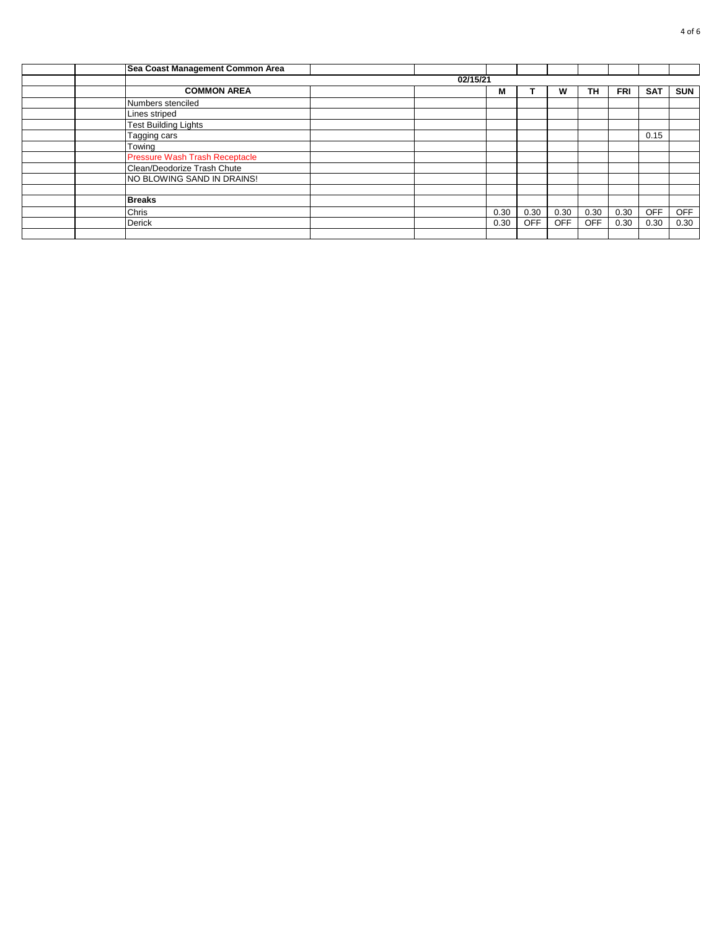| Sea Coast Management Common Area      |          |      |            |      |            |            |            |            |
|---------------------------------------|----------|------|------------|------|------------|------------|------------|------------|
|                                       | 02/15/21 |      |            |      |            |            |            |            |
| <b>COMMON AREA</b>                    |          | м    |            | w    | TH         | <b>FRI</b> | <b>SAT</b> | <b>SUN</b> |
| Numbers stenciled                     |          |      |            |      |            |            |            |            |
| Lines striped                         |          |      |            |      |            |            |            |            |
| <b>Test Building Lights</b>           |          |      |            |      |            |            |            |            |
| Tagging cars                          |          |      |            |      |            |            | 0.15       |            |
| Towing                                |          |      |            |      |            |            |            |            |
| <b>Pressure Wash Trash Receptacle</b> |          |      |            |      |            |            |            |            |
| Clean/Deodorize Trash Chute           |          |      |            |      |            |            |            |            |
| NO BLOWING SAND IN DRAINS!            |          |      |            |      |            |            |            |            |
|                                       |          |      |            |      |            |            |            |            |
| <b>Breaks</b>                         |          |      |            |      |            |            |            |            |
| Chris                                 |          | 0.30 | 0.30       | 0.30 | 0.30       | 0.30       | <b>OFF</b> | OFF        |
| <b>Derick</b>                         |          | 0.30 | <b>OFF</b> | OFF  | <b>OFF</b> | 0.30       | 0.30       | 0.30       |
|                                       |          |      |            |      |            |            |            |            |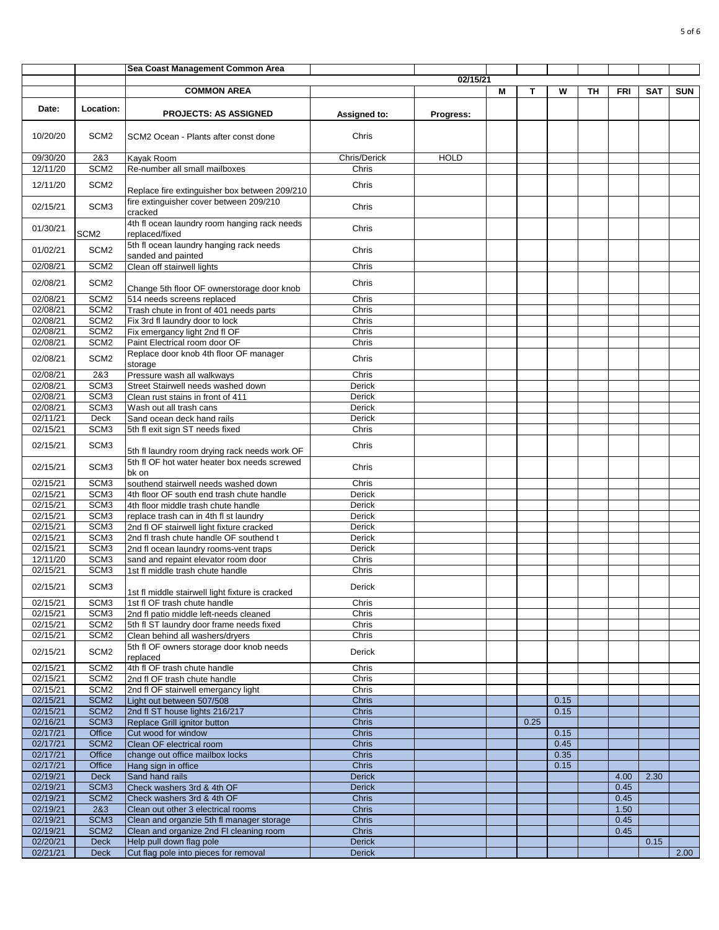|                      |                                      | Sea Coast Management Common Area                                                    |                        |             |   |      |      |    |              |            |            |
|----------------------|--------------------------------------|-------------------------------------------------------------------------------------|------------------------|-------------|---|------|------|----|--------------|------------|------------|
|                      |                                      |                                                                                     |                        | 02/15/21    |   |      |      |    |              |            |            |
|                      |                                      | <b>COMMON AREA</b>                                                                  |                        |             | M | т    | W    | TН | FRI          | <b>SAT</b> | <b>SUN</b> |
| Date:                | Location:                            | <b>PROJECTS: AS ASSIGNED</b>                                                        | <b>Assigned to:</b>    | Progress:   |   |      |      |    |              |            |            |
| 10/20/20             | SCM <sub>2</sub>                     | SCM2 Ocean - Plants after const done                                                | Chris                  |             |   |      |      |    |              |            |            |
| 09/30/20             | 2&3                                  | Kayak Room                                                                          | Chris/Derick           | <b>HOLD</b> |   |      |      |    |              |            |            |
| 12/11/20             | SCM <sub>2</sub>                     | Re-number all small mailboxes                                                       | Chris                  |             |   |      |      |    |              |            |            |
| 12/11/20             | SCM <sub>2</sub>                     | Replace fire extinguisher box between 209/210                                       | Chris                  |             |   |      |      |    |              |            |            |
| 02/15/21             | SCM <sub>3</sub>                     | fire extinguisher cover between 209/210<br>cracked                                  | Chris                  |             |   |      |      |    |              |            |            |
| 01/30/21             | SCM <sub>2</sub>                     | 4th fl ocean laundry room hanging rack needs<br>replaced/fixed                      | Chris                  |             |   |      |      |    |              |            |            |
| 01/02/21             | SCM <sub>2</sub>                     | 5th fl ocean laundry hanging rack needs<br>sanded and painted                       | Chris                  |             |   |      |      |    |              |            |            |
| 02/08/21             | SCM <sub>2</sub>                     | Clean off stairwell lights                                                          | Chris                  |             |   |      |      |    |              |            |            |
| 02/08/21             | SCM <sub>2</sub>                     | Change 5th floor OF ownerstorage door knob                                          | Chris                  |             |   |      |      |    |              |            |            |
| 02/08/21             | SCM <sub>2</sub>                     | 514 needs screens replaced                                                          | Chris                  |             |   |      |      |    |              |            |            |
| 02/08/21             | SCM <sub>2</sub>                     | Trash chute in front of 401 needs parts                                             | Chris                  |             |   |      |      |    |              |            |            |
| 02/08/21<br>02/08/21 | SCM <sub>2</sub><br>SCM <sub>2</sub> | Fix 3rd fl laundry door to lock                                                     | Chris<br>Chris         |             |   |      |      |    |              |            |            |
| 02/08/21             | SCM <sub>2</sub>                     | Fix emergancy light 2nd fl OF<br>Paint Electrical room door OF                      | Chris                  |             |   |      |      |    |              |            |            |
| 02/08/21             | SCM <sub>2</sub>                     | Replace door knob 4th floor OF manager                                              | Chris                  |             |   |      |      |    |              |            |            |
| 02/08/21             | 2&3                                  | storage<br>Pressure wash all walkways                                               | Chris                  |             |   |      |      |    |              |            |            |
| 02/08/21             | SCM <sub>3</sub>                     | Street Stairwell needs washed down                                                  | Derick                 |             |   |      |      |    |              |            |            |
| 02/08/21             | SCM <sub>3</sub>                     | Clean rust stains in front of 411                                                   | Derick                 |             |   |      |      |    |              |            |            |
| 02/08/21             | SCM <sub>3</sub>                     | Wash out all trash cans                                                             | Derick                 |             |   |      |      |    |              |            |            |
| 02/11/21             | Deck                                 | Sand ocean deck hand rails                                                          | Derick                 |             |   |      |      |    |              |            |            |
| 02/15/21             | SCM <sub>3</sub>                     | 5th fl exit sign ST needs fixed                                                     | Chris                  |             |   |      |      |    |              |            |            |
| 02/15/21             | SCM3                                 | 5th fl laundry room drying rack needs work OF                                       | Chris                  |             |   |      |      |    |              |            |            |
| 02/15/21             | SCM <sub>3</sub>                     | 5th fl OF hot water heater box needs screwed<br>bk on                               | Chris                  |             |   |      |      |    |              |            |            |
| 02/15/21             | SCM <sub>3</sub>                     | southend stairwell needs washed down                                                | Chris                  |             |   |      |      |    |              |            |            |
| 02/15/21             | SCM <sub>3</sub>                     | 4th floor OF south end trash chute handle                                           | <b>Derick</b>          |             |   |      |      |    |              |            |            |
| 02/15/21             | SCM <sub>3</sub>                     | 4th floor middle trash chute handle                                                 | <b>Derick</b>          |             |   |      |      |    |              |            |            |
| 02/15/21<br>02/15/21 | SCM <sub>3</sub><br>SCM <sub>3</sub> | replace trash can in 4th fl st laundry<br>2nd fl OF stairwell light fixture cracked | Derick<br>Derick       |             |   |      |      |    |              |            |            |
| 02/15/21             | SCM <sub>3</sub>                     | 2nd fl trash chute handle OF southend t                                             | Derick                 |             |   |      |      |    |              |            |            |
| 02/15/21             | SCM <sub>3</sub>                     | 2nd fl ocean laundry rooms-vent traps                                               | <b>Derick</b>          |             |   |      |      |    |              |            |            |
| 12/11/20             | SCM <sub>3</sub>                     | sand and repaint elevator room door                                                 | Chris                  |             |   |      |      |    |              |            |            |
| 02/15/21             | SCM <sub>3</sub>                     | 1st fl middle trash chute handle                                                    | Chris                  |             |   |      |      |    |              |            |            |
| 02/15/21             | SCM3                                 | 1st fl middle stairwell light fixture is cracked                                    | Derick                 |             |   |      |      |    |              |            |            |
| 02/15/21             | SCM <sub>3</sub>                     | 1st fl OF trash chute handle                                                        | Chris                  |             |   |      |      |    |              |            |            |
| 02/15/21             | SCM <sub>3</sub>                     | 2nd fl patio middle left-needs cleaned                                              | Chris                  |             |   |      |      |    |              |            |            |
| 02/15/21             | SCM <sub>2</sub>                     | 5th fl ST laundry door frame needs fixed                                            | Chris                  |             |   |      |      |    |              |            |            |
| 02/15/21             | SCM <sub>2</sub>                     | Clean behind all washers/dryers                                                     | Chris                  |             |   |      |      |    |              |            |            |
| 02/15/21             | SCM <sub>2</sub>                     | 5th fl OF owners storage door knob needs<br>replaced                                | Derick                 |             |   |      |      |    |              |            |            |
| 02/15/21             | SCM <sub>2</sub>                     | 4th fl OF trash chute handle                                                        | Chris                  |             |   |      |      |    |              |            |            |
| 02/15/21<br>02/15/21 | SCM <sub>2</sub><br>SCM <sub>2</sub> | 2nd fl OF trash chute handle                                                        | Chris<br>Chris         |             |   |      |      |    |              |            |            |
| 02/15/21             | SCM <sub>2</sub>                     | 2nd fl OF stairwell emergancy light<br>Light out between 507/508                    | <b>Chris</b>           |             |   |      | 0.15 |    |              |            |            |
| 02/15/21             | SCM <sub>2</sub>                     | 2nd fl ST house lights 216/217                                                      | Chris                  |             |   |      | 0.15 |    |              |            |            |
| 02/16/21             | SCM <sub>3</sub>                     | Replace Grill ignitor button                                                        | Chris                  |             |   | 0.25 |      |    |              |            |            |
| 02/17/21             | Office                               | Cut wood for window                                                                 | <b>Chris</b>           |             |   |      | 0.15 |    |              |            |            |
| 02/17/21             | SCM <sub>2</sub>                     | Clean OF electrical room                                                            | <b>Chris</b>           |             |   |      | 0.45 |    |              |            |            |
| 02/17/21             | Office                               | change out office mailbox locks                                                     | <b>Chris</b>           |             |   |      | 0.35 |    |              |            |            |
| 02/17/21             | Office                               | Hang sign in office                                                                 | <b>Chris</b>           |             |   |      | 0.15 |    |              |            |            |
| 02/19/21             | <b>Deck</b>                          | Sand hand rails                                                                     | <b>Derick</b>          |             |   |      |      |    | 4.00         | 2.30       |            |
| 02/19/21<br>02/19/21 | SCM <sub>3</sub><br>SCM <sub>2</sub> | Check washers 3rd & 4th OF<br>Check washers 3rd & 4th OF                            | <b>Derick</b><br>Chris |             |   |      |      |    | 0.45<br>0.45 |            |            |
| 02/19/21             | 2&3                                  | Clean out other 3 electrical rooms                                                  | Chris                  |             |   |      |      |    | 1.50         |            |            |
| 02/19/21             | SCM <sub>3</sub>                     | Clean and organzie 5th fl manager storage                                           | <b>Chris</b>           |             |   |      |      |    | 0.45         |            |            |
| 02/19/21             | SCM <sub>2</sub>                     | Clean and organize 2nd FI cleaning room                                             | <b>Chris</b>           |             |   |      |      |    | 0.45         |            |            |
| 02/20/21             | <b>Deck</b>                          | Help pull down flag pole                                                            | <b>Derick</b>          |             |   |      |      |    |              | 0.15       |            |
| 02/21/21             | <b>Deck</b>                          | Cut flag pole into pieces for removal                                               | <b>Derick</b>          |             |   |      |      |    |              |            | 2.00       |